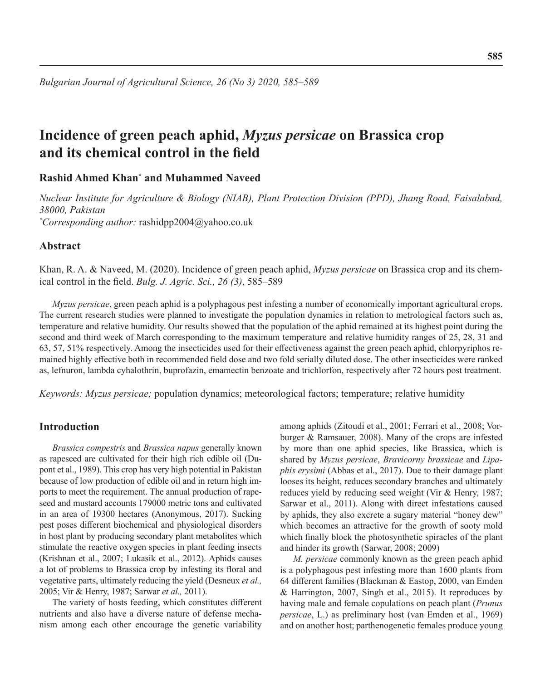# **Incidence of green peach aphid,** *Myzus persicae* **on Brassica crop and its chemical control in the field**

# **Rashid Ahmed Khan\* and Muhammed Naveed**

*Nuclear Institute for Agriculture & Biology (NIAB), Plant Protection Division (PPD), Jhang Road, Faisalabad, 38000, Pakistan \* Corresponding author:* rashidpp2004@yahoo.co.uk

# **Abstract**

Khan, R. A. & Naveed, M. (2020). Incidence of green peach aphid, *Myzus persicae* on Brassica crop and its chemical control in the field. *Bulg. J. Agric. Sci., 26 (3)*, 585–589

*Myzus persicae*, green peach aphid is a polyphagous pest infesting a number of economically important agricultural crops. The current research studies were planned to investigate the population dynamics in relation to metrological factors such as, temperature and relative humidity. Our results showed that the population of the aphid remained at its highest point during the second and third week of March corresponding to the maximum temperature and relative humidity ranges of 25, 28, 31 and 63, 57, 51% respectively. Among the insecticides used for their effectiveness against the green peach aphid, chlorpyriphos remained highly effective both in recommended field dose and two fold serially diluted dose. The other insecticides were ranked as, lefnuron, lambda cyhalothrin, buprofazin, emamectin benzoate and trichlorfon, respectively after 72 hours post treatment.

*Keywords: Myzus persicae;* population dynamics; meteorological factors; temperature; relative humidity

## **Introduction**

*Brassica compestris* and *Brassica napus* generally known as rapeseed are cultivated for their high rich edible oil (Dupont et al., 1989). This crop has very high potential in Pakistan because of low production of edible oil and in return high imports to meet the requirement. The annual production of rapeseed and mustard accounts 179000 metric tons and cultivated in an area of 19300 hectares (Anonymous, 2017). Sucking pest poses different biochemical and physiological disorders in host plant by producing secondary plant metabolites which stimulate the reactive oxygen species in plant feeding insects (Krishnan et al., 2007; Lukasik et al., 2012). Aphids causes a lot of problems to Brassica crop by infesting its floral and vegetative parts, ultimately reducing the yield (Desneux *et al.,*  2005; Vir & Henry, 1987; Sarwar *et al.,* 2011).

The variety of hosts feeding, which constitutes different nutrients and also have a diverse nature of defense mechanism among each other encourage the genetic variability

among aphids (Zitoudi et al., 2001; Ferrari et al., 2008; Vorburger & Ramsauer, 2008). Many of the crops are infested by more than one aphid species, like Brassica, which is shared by *Myzus persicae*, *Bravicorny brassicae* and *Lipaphis erysimi* (Abbas et al., 2017). Due to their damage plant looses its height, reduces secondary branches and ultimately reduces yield by reducing seed weight (Vir & Henry, 1987; Sarwar et al., 2011). Along with direct infestations caused by aphids, they also excrete a sugary material "honey dew" which becomes an attractive for the growth of sooty mold which finally block the photosynthetic spiracles of the plant and hinder its growth (Sarwar, 2008; 2009)

*M. persicae* commonly known as the green peach aphid is a polyphagous pest infesting more than 1600 plants from 64 different families (Blackman & Eastop, 2000, van Emden & Harrington, 2007, Singh et al., 2015). It reproduces by having male and female copulations on peach plant (*Prunus persicae*, L.) as preliminary host (van Emden et al., 1969) and on another host; parthenogenetic females produce young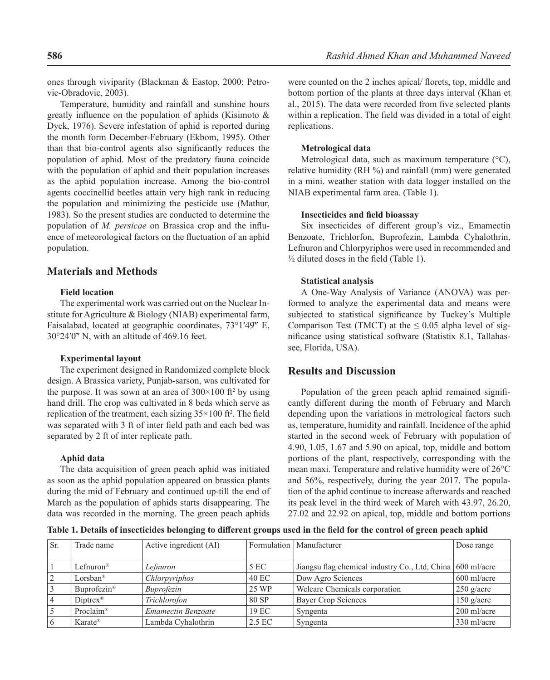ones through viviparity (Blackman & Eastop, 2000; Petrovic-Obradovic, 2003).

Temperature, humidity and rainfall and sunshine hours greatly influence on the population of aphids (Kisimoto & Dyck, 1976). Severe infestation of aphid is reported during the month form December-February (Ekbom, 1995). Other than that bio-control agents also significantly reduces the population of aphid. Most of the predatory fauna coincide with the population of aphid and their population increases as the aphid population increase. Among the bio-control agents coccinellid beetles attain very high rank in reducing the population and minimizing the pesticide use (Mathur, 1983). So the present studies are conducted to determine the population of *M. persicae* on Brassica crop and the influence of meteorological factors on the fluctuation of an aphid population.

# **Materials and Methods**

### **Field location**

The experimental work was carried out on the Nuclear Institute for Agriculture & Biology (NIAB) experimental farm, Faisalabad, located at geographic coordinates,  $73^{\circ}1'49''$  E, 30°24′0̋″ N, with an altitude of 469.16 feet.

#### **Experimental layout**

The experiment designed in Randomized complete block design. A Brassica variety, Punjab-sarson, was cultivated for the purpose. It was sown at an area of  $300 \times 100$  ft<sup>2</sup> by using hand drill. The crop was cultivated in 8 beds which serve as replication of the treatment, each sizing  $35 \times 100$  ft<sup>2</sup>. The field was separated with 3 ft of inter field path and each bed was separated by 2 ft of inter replicate path.

#### **Aphid data**

The data acquisition of green peach aphid was initiated as soon as the aphid population appeared on brassica plants during the mid of February and continued up-till the end of March as the population of aphids starts disappearing. The data was recorded in the morning. The green peach aphids were counted on the 2 inches apical/ florets, top, middle and bottom portion of the plants at three days interval (Khan et al., 2015). The data were recorded from five selected plants within a replication. The field was divided in a total of eight replications.

#### **Metrological data**

Metrological data, such as maximum temperature (°C), relative humidity (RH %) and rainfall (mm) were generated in a mini. weather station with data logger installed on the NIAB experimental farm area. (Table 1).

#### **Insecticides and field bioassay**

Six insecticides of different group's viz., Emamectin Benzoate, Trichlorfon, Buprofezin, Lambda Cyhalothrin, Lefnuron and Chlorpyriphos were used in recommended and ½ diluted doses in the field (Table 1).

#### **Statistical analysis**

A One-Way Analysis of Variance (ANOVA) was performed to analyze the experimental data and means were subjected to statistical significance by Tuckey's Multiple Comparison Test (TMCT) at the  $\leq 0.05$  alpha level of significance using statistical software (Statistix 8.1, Tallahassee, Florida, USA).

## **Results and Discussion**

Population of the green peach aphid remained significantly different during the month of February and March depending upon the variations in metrological factors such as, temperature, humidity and rainfall. Incidence of the aphid started in the second week of February with population of 4.90, 1.05, 1.67 and 5.90 on apical, top, middle and bottom portions of the plant, respectively, corresponding with the mean maxi. Temperature and relative humidity were of 26°C and 56%, respectively, during the year 2017. The population of the aphid continue to increase afterwards and reached its peak level in the third week of March with 43.97, 26.20, 27.02 and 22.92 on apical, top, middle and bottom portions

**Table 1. Details of insecticides belonging to different groups used in the field for the control of green peach aphid**

| Sr. | Trade name              | Active ingredient (AI)    |        | Formulation   Manufacturer                                 | Dose range    |
|-----|-------------------------|---------------------------|--------|------------------------------------------------------------|---------------|
|     |                         |                           |        |                                                            |               |
|     | Lefnuron <sup>®</sup>   | Lefnuron                  | 5 EC   | Jiangsu flag chemical industry Co., Ltd, China 600 ml/acre |               |
|     | Lorsban <sup>®</sup>    | Chlorpyriphos             | 40 EC  | Dow Agro Sciences                                          | $600$ ml/acre |
|     | Buprofezin <sup>®</sup> | Buprofezin                | 25 WP  | Welcare Chemicals corporation                              | $250$ g/acre  |
|     | $Dintrex^{\circledR}$   | Trichlorofon              | 80 SP  | <b>Bayer Crop Sciences</b>                                 | $150$ g/acre  |
|     | Proclaim®               | <b>Emamectin Benzoate</b> | 19 EC  | Syngenta                                                   | 200 ml/acre   |
|     | Karate <sup>®</sup>     | Lambda Cyhalothrin        | 2.5 EC | Syngenta                                                   | 330 ml/acre   |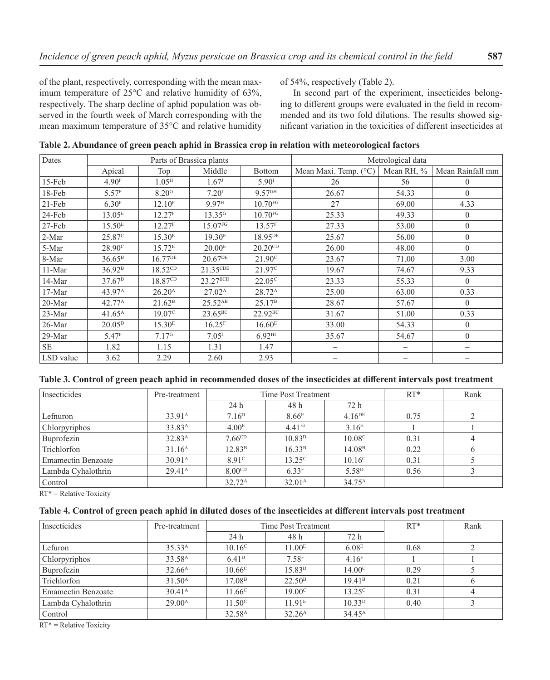of the plant, respectively, corresponding with the mean maximum temperature of 25°C and relative humidity of 63%, respectively. The sharp decline of aphid population was observed in the fourth week of March corresponding with the mean maximum temperature of 35°C and relative humidity of 54%, respectively (Table 2).

In second part of the experiment, insecticides belonging to different groups were evaluated in the field in recommended and its two fold dilutions. The results showed significant variation in the toxicities of different insecticides at

| Dates     | Parts of Brassica plants |                     |                     |                       | Metrological data     |            |                  |  |
|-----------|--------------------------|---------------------|---------------------|-----------------------|-----------------------|------------|------------------|--|
|           | Apical                   | Top                 | Middle              | <b>Bottom</b>         | Mean Maxi. Temp. (°C) | Mean RH, % | Mean Rainfall mm |  |
| $15$ -Feb | 4.90 <sup>F</sup>        | 1.05 <sup>H</sup>   | 1.67 <sup>J</sup>   | 5.90 <sup>I</sup>     | 26                    | 56         | $\theta$         |  |
| 18-Feb    | 5.57 <sup>F</sup>        | 8.20 <sup>G</sup>   | 7.20 <sup>I</sup>   | $9.57$ <sup>GH</sup>  | 26.67                 | 54.33      | $\theta$         |  |
| $21-Feb$  | 6.30 <sup>F</sup>        | 12.10 <sup>F</sup>  | 9.97 <sup>H</sup>   | $10.70$ <sub>FG</sub> | 27                    | 69.00      | 4.33             |  |
| 24-Feb    | 13.05 <sup>E</sup>       | 12.27 <sup>F</sup>  | 13.35 <sup>G</sup>  | $10.70$ <sub>FG</sub> | 25.33                 | 49.33      | $\theta$         |  |
| 27-Feb    | 15.50 <sup>E</sup>       | 12.27 <sup>F</sup>  | 15.07FG             | 13.57 <sup>F</sup>    | 27.33                 | 53.00      | $\theta$         |  |
| 2-Mar     | 25.87 <sup>c</sup>       | 15.30 <sup>E</sup>  | 19.30 <sup>E</sup>  | 18.95DE               | 25.67                 | 56.00      | $\theta$         |  |
| 5-Mar     | 28.90 <sup>c</sup>       | 15.72 <sup>E</sup>  | 20.00 <sup>E</sup>  | $20.20^{CD}$          | 26.00                 | 48.00      | $\Omega$         |  |
| 8-Mar     | $36.65^{\rm B}$          | 16.77DE             | 20.67 <sup>DE</sup> | $21.90^{\circ}$       | 23.67                 | 71.00      | 3.00             |  |
| 11-Mar    | 36.92 <sup>B</sup>       | $18.52^{\text{CD}}$ | 21.35CDE            | 21.97 <sup>c</sup>    | 19.67                 | 74.67      | 9.33             |  |
| 14-Mar    | $37.67^{\rm B}$          | 18.87 <sup>CD</sup> | $23.27^{BCD}$       | $22.05^{\circ}$       | 23.33                 | 55.33      | $\theta$         |  |
| $17-Mar$  | 43.97 <sup>A</sup>       | 26.20 <sup>A</sup>  | $27.02^{\text{A}}$  | 28.72 <sup>A</sup>    | 25.00                 | 63.00      | 0.33             |  |
| 20-Mar    | $42.77^{\rm A}$          | 21.62 <sup>B</sup>  | 25.52 <sup>AB</sup> | 25.17 <sup>B</sup>    | 28.67                 | 57.67      | $\Omega$         |  |
| 23-Mar    | $41.65^{\text{A}}$       | 19.07 <sup>c</sup>  | $23.65^{\rm BC}$    | $22.92^{BC}$          | 31.67                 | 51.00      | 0.33             |  |
| 26-Mar    | 20.05 <sup>D</sup>       | 15.30 <sup>E</sup>  | 16.25 <sup>F</sup>  | 16.60 <sup>E</sup>    | 33.00                 | 54.33      | $\theta$         |  |
| $29-Mar$  | 5.47 <sup>F</sup>        | 7.17 <sup>6</sup>   | 7.05 <sup>I</sup>   | $6.92$ <sup>HI</sup>  | 35.67                 | 54.67      | $\Omega$         |  |
| <b>SE</b> | 1.82                     | 1.15                | 1.31                | 1.47                  |                       |            |                  |  |
| LSD value | 3.62                     | 2.29                | 2.60                | 2.93                  |                       |            |                  |  |

**Table 2. Abundance of green peach aphid in Brassica crop in relation with meteorological factors**

|  | Table 3. Control of green peach aphid in recommended doses of the insecticides at different intervals post treatment |  |
|--|----------------------------------------------------------------------------------------------------------------------|--|
|--|----------------------------------------------------------------------------------------------------------------------|--|

| Insecticides              | Pre-treatment      | Time Post Treatment |                    |                      | $RT*$ | Rank |
|---------------------------|--------------------|---------------------|--------------------|----------------------|-------|------|
|                           |                    | 24 h                | 48 h               | 72 h                 |       |      |
| Lefnuron                  | 33.91 <sup>A</sup> | 7.16 <sup>D</sup>   | 8.66 <sup>E</sup>  | $4.16$ <sup>DE</sup> | 0.75  |      |
| Chlorpyriphos             | 33.83 <sup>A</sup> | 4.00 <sup>E</sup>   | 4.41 $\rm ^{G}$    | 3.16 <sup>E</sup>    |       |      |
| Buprofezin                | 32.83 <sup>A</sup> | 7.66 <sup>CD</sup>  | 10.83 <sup>D</sup> | 10.08 <sup>c</sup>   | 0.31  |      |
| Trichlorfon               | 31.16 <sup>A</sup> | 12.83 <sup>B</sup>  | 16.33 <sup>B</sup> | 14.08 <sup>B</sup>   | 0.22  |      |
| <b>Emamectin Benzoate</b> | 30.91 <sup>A</sup> | 8.91 <sup>c</sup>   | $13.25^{\circ}$    | $10.16^{\circ}$      | 0.31  |      |
| Lambda Cyhalothrin        | $29.41^{\text{A}}$ | 8.00 <sup>CD</sup>  | 6.33 <sup>F</sup>  | 5.58 <sup>D</sup>    | 0.56  |      |
| Control                   |                    | $32.72^{\rm A}$     | 32.01 <sup>A</sup> | $34.75^{\text{A}}$   |       |      |

RT\* = Relative Toxicity

### **Table 4. Control of green peach aphid in diluted doses of the insecticides at different intervals post treatment**

| Insecticides              | Pre-treatment      | Time Post Treatment |                     |                    | $RT*$ | Rank     |
|---------------------------|--------------------|---------------------|---------------------|--------------------|-------|----------|
|                           |                    | 24 h                | 48 h                | 72 h               |       |          |
| Lefuron                   | 35.33 <sup>A</sup> | $10.16^{\circ}$     | 11.00 <sup>E</sup>  | 6.08 <sup>E</sup>  | 0.68  |          |
| Chlorpyriphos             | 33.58 <sup>A</sup> | 6.41 <sup>D</sup>   | $7.58$ <sup>F</sup> | 4.16 <sup>F</sup>  |       |          |
| Buprofezin                | 32.66 <sup>A</sup> | $10.66^{\circ}$     | 15.83 <sup>D</sup>  | 14.00 <sup>c</sup> | 0.29  |          |
| Trichlorfon               | 31.50 <sup>A</sup> | 17.08 <sup>B</sup>  | 22.50 <sup>B</sup>  | 19.41 <sup>B</sup> | 0.21  | $\sigma$ |
| <b>Emamectin Benzoate</b> | 30.41 <sup>A</sup> | 11.66 <sup>c</sup>  | 19.00 <sup>c</sup>  | 13.25c             | 0.31  |          |
| Lambda Cyhalothrin        | $29.00^{\text{A}}$ | $11.50^{\circ}$     | 11.91 <sup>E</sup>  | 10.33 <sup>D</sup> | 0.40  |          |
| Control                   |                    | 32.58 <sup>A</sup>  | 32.26 <sup>A</sup>  | 34.45 <sup>A</sup> |       |          |

RT\* = Relative Toxicity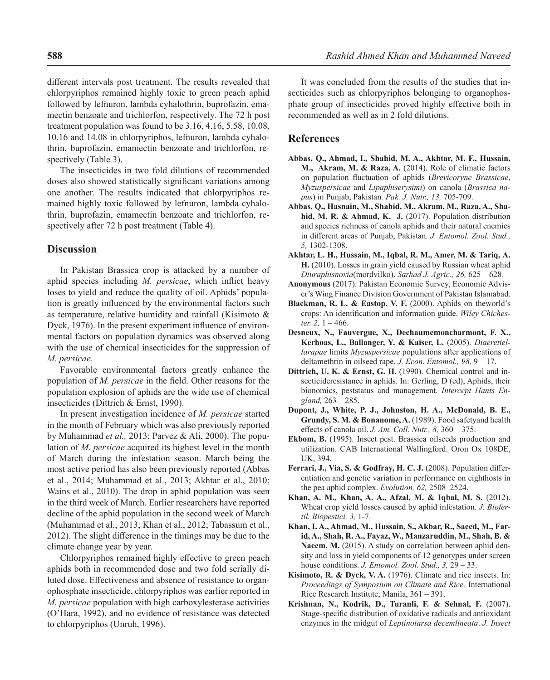different intervals post treatment. The results revealed that chlorpyriphos remained highly toxic to green peach aphid followed by lefnuron, lambda cyhalothrin, buprofazin, emamectin benzoate and trichlorfon, respectively. The 72 h post treatment population was found to be 3.16, 4.16, 5.58, 10.08, 10.16 and 14.08 in chlorpyriphos, lefnuron, lambda cyhalothrin, buprofazin, emamectin benzoate and trichlorfon, respectively (Table 3).

The insecticides in two fold dilutions of recommended doses also showed statistically significant variations among one another. The results indicated that chlorpyriphos remained highly toxic followed by lefnuron, lambda cyhalothrin, buprofazin, emamectin benzoate and trichlorfon, respectively after 72 h post treatment (Table 4).

## **Discussion**

In Pakistan Brassica crop is attacked by a number of aphid species including *M. persicae*, which inflict heavy loses to yield and reduce the quality of oil. Aphids' population is greatly influenced by the environmental factors such as temperature, relative humidity and rainfall (Kisimoto & Dyck, 1976). In the present experiment influence of environmental factors on population dynamics was observed along with the use of chemical insecticides for the suppression of *M. persicae*.

Favorable environmental factors greatly enhance the population of *M. persicae* in the field. Other reasons for the population explosion of aphids are the wide use of chemical insecticides (Dittrich & Ernst, 1990).

In present investigation incidence of *M. persicae* started in the month of February which was also previously reported by Muhammad *et al.,* 2013; Parvez & Ali, 2000). The population of *M. persicae* acquired its highest level in the month of March during the infestation season. March being the most active period has also been previously reported (Abbas et al., 2014; Muhammad et al., 2013; Akhtar et al., 2010; Wains et al., 2010). The drop in aphid population was seen in the third week of March. Earlier researchers have reported decline of the aphid population in the second week of March (Muhammad et al., 2013; Khan et al., 2012; Tabassum et al., 2012). The slight difference in the timings may be due to the climate change year by year.

Chlorpyriphos remained highly effective to green peach aphids both in recommended dose and two fold serially diluted dose. Effectiveness and absence of resistance to organophosphate insecticide, chlorpyriphos was earlier reported in *M. persicae* population with high carboxylesterase activities (O'Hara, 1992), and no evidence of resistance was detected to chlorpyriphos (Unruh, 1996).

It was concluded from the results of the studies that insecticides such as chlorpyriphos belonging to organophosphate group of insecticides proved highly effective both in recommended as well as in 2 fold dilutions.

## **References**

- **Abbas, Q., Ahmad, I., Shahid, M. A., Akhtar, M. F., Hussain, M., Akram, M. & Raza, A.** (2014). Role of climatic factors on population fluctuation of aphids (*Brevicoryne Brassicae*, *Myzuspersicae* and *Lipaphiserysimi*) on canola (*Brassica napus*) in Punjab, Pakistan*. Pak. J. Nutr., 13,* 705-709.
- **Abbas, Q., Hasnain, M., Shahid, M., Akram, M., Raza, A., Shahid, M. R. & Ahmad, K. J.** (2017). Population distribution and species richness of canola aphids and their natural enemies in different areas of Punjab, Pakistan. *J. Entomol. Zool. Stud., 5,* 1302-1308.
- **Akhtar, L. H., Hussain, M., Iqbal, R. M., Amer, M. & Tariq, A. H.** (2010). Losses in grain yield caused by Russian wheat aphid *Diuraphisnoxia*(mordvilko). *Sarhad J. Agric., 26,* 625 – 628*.*
- **Anonymous** (2017). Pakistan Economic Survey, Economic Adviser's Wing Finance Division Government of Pakistan Islamabad.
- **Blackman, R. L. & Eastop, V. F.** (2000). Aphids on theworld's crops: An identification and information guide. *Wiley Chichester, 2,* 1 – 466.
- **Desneux, N., Fauvergue, X., Dechaumemoncharmont, F. X., Kerhoas, L., Ballanger, Y. & Kaiser, L.** (2005). *Diaeretiellarapae* limits *Myzuspersicae* populations after applications of deltamethrin in oilseed rape. *J. Econ. Entomol., 98,* 9 – 17.
- **Dittrich, U. K. & Ernst, G. H.** (1990). Chemical control and insecticideresistance in aphids. In: Gerling, D (ed), Aphids, their bionomics, peststatus and management. *Intercept Hants England,* 263 – 285.
- **Dupont, J., White, P. J., Johnston, H. A., McDonald, B. E., Grundy, S. M. & Bonanome, A.** (1989). Food safetyand health effects of canola oil. *J. Am. Coll. Nutr., 8,* 360 – 375.
- **Ekbom, B.** (1995). Insect pest. Brassica oilseeds production and utilization. CAB International Wallingford. Oron Ox 108DE, UK, 394.
- **Ferrari, J., Via, S. & Godfray, H. C. J.** (2008). Population differentiation and genetic variation in performance on eighthosts in the pea aphid complex. *Evolution, 62,* 2508–2524.
- **Khan, A. M., Khan, A. A., Afzal, M. & Iqbal, M. S.** (2012). Wheat crop yield losses caused by aphid infestation. *J. Biofertil. Biopestici, 3,* 1-7.
- **Khan, I. A., Ahmad, M., Hussain, S., Akbar, R., Saeed, M., Farid, A., Shah, R. A., Fayaz, W., Manzaruddin, M., Shah, B. &**  Naeem, M. (2015). A study on correlation between aphid density and loss in yield components of 12 genotypes under screen house conditions. *J. Entomol. Zool. Stud., 3,* 29 – 33.
- **Kisimoto, R. & Dyck, V. A.** (1976). Climate and rice insects. In: *Proceedings of Symposium on Climate and Rice,* International Rice Research Institute, Manila, 361 – 391.
- **Krishnan, N., Kodrik, D., Turanli, F. & Sehnal, F.** (2007). Stage-specific distribution of oxidative radicals and antioxidant enzymes in the midgut of *Leptinotarsa decemlineata*. *J. Insect*